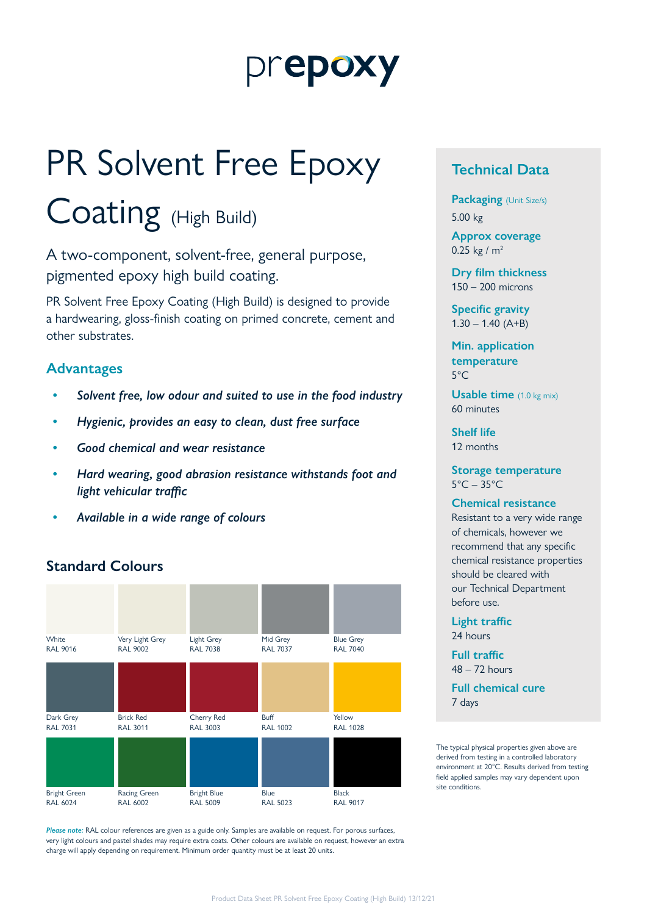## prepoxy

# PR Solvent Free Epoxy

## Coating (High Build)

A two-component, solvent-free, general purpose, pigmented epoxy high build coating.

PR Solvent Free Epoxy Coating (High Build) is designed to provide a hardwearing, gloss-finish coating on primed concrete, cement and other substrates.

#### **Advantages**

- *• Solvent free, low odour and suited to use in the food industry*
- *• Hygienic, provides an easy to clean, dust free surface*
- *• Good chemical and wear resistance*
- *• Hard wearing, good abrasion resistance withstands foot and light vehicular traffic*
- *• Available in a wide range of colours*

#### **Standard Colours**



*Please note:* RAL colour references are given as a guide only. Samples are available on request. For porous surfaces, very light colours and pastel shades may require extra coats. Other colours are available on request, however an extra charge will apply depending on requirement. Minimum order quantity must be at least 20 units.

#### **Technical Data**

**Packaging** (Unit Size/s) 5.00 kg

**Approx coverage** 0.25 kg /  $m<sup>2</sup>$ 

**Dry film thickness** 150 – 200 microns

**Specific gravity**  $1.30 - 1.40$  (A+B)

**Min. application temperature** 5°C

**Usable time** (1.0 kg mix) 60 minutes

**Shelf life** 12 months

**Storage temperature**  $5^{\circ}$ C – 35 $^{\circ}$ C

#### **Chemical resistance**

Resistant to a very wide range of chemicals, however we recommend that any specific chemical resistance properties should be cleared with our Technical Department before use.

**Light traffic** 24 hours

**Full traffic**  $48 - 72$  hours

**Full chemical cure** 7 days

The typical physical properties given above are derived from testing in a controlled laboratory environment at 20°C. Results derived from testing field applied samples may vary dependent upon site conditions.